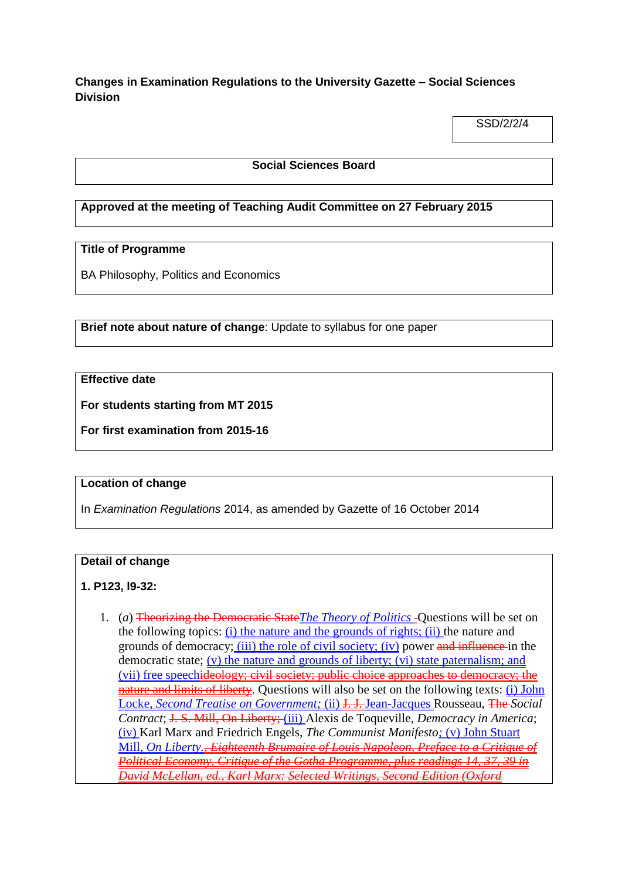**Changes in Examination Regulations to the University Gazette – Social Sciences Division**

SSD/2/2/4

#### **Social Sciences Board**

# **Approved at the meeting of Teaching Audit Committee on 27 February 2015**

# **Title of Programme**

BA Philosophy, Politics and Economics

**Brief note about nature of change**: Update to syllabus for one paper

# **Effective date**

**For students starting from MT 2015**

**For first examination from 2015-16**

### **Location of change**

In *Examination Regulations* 2014, as amended by Gazette of 16 October 2014

### **Detail of change**

# **1. P123, l9-32:**

1. (*a*) Theorizing the Democratic State*The Theory of Politics* Questions will be set on the following topics: (i) the nature and the grounds of rights; (ii) the nature and grounds of democracy; (iii) the role of civil society; (iv) power and influence in the democratic state; (v) the nature and grounds of liberty; (vi) state paternalism; and (vii) free speechideology; civil society; public choice approaches to democracy; the nature and limits of liberty. Questions will also be set on the following texts: (i) John Locke, *Second Treatise on Government;* (ii) J. J. Jean-Jacques Rousseau, The *Social Contract*; J. S. Mill, On Liberty; (iii) Alexis de Toqueville, *Democracy in America*; (iv) Karl Marx and Friedrich Engels, *The Communist Manifesto;* (v) John Stuart Mill, *On Liberty., Eighteenth Brumaire of Louis Napoleon, Preface to a Critique of Political Economy, Critique of the Gotha Programme, plus readings 14, 37, 39 in David McLellan, ed., Karl Marx: Selected Writings, Second Edition (Oxford*